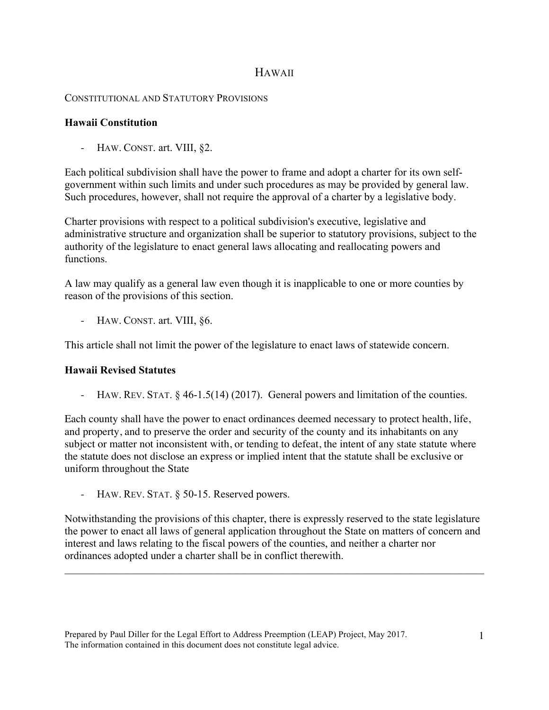# HAWAII

# CONSTITUTIONAL AND STATUTORY PROVISIONS

# **Hawaii Constitution**

- HAW. CONST. art. VIII, §2.

Each political subdivision shall have the power to frame and adopt a charter for its own selfgovernment within such limits and under such procedures as may be provided by general law. Such procedures, however, shall not require the approval of a charter by a legislative body.

Charter provisions with respect to a political subdivision's executive, legislative and administrative structure and organization shall be superior to statutory provisions, subject to the authority of the legislature to enact general laws allocating and reallocating powers and functions.

A law may qualify as a general law even though it is inapplicable to one or more counties by reason of the provisions of this section.

- HAW. CONST. art. VIII, §6.

This article shall not limit the power of the legislature to enact laws of statewide concern.

### **Hawaii Revised Statutes**

- HAW. REV. STAT. § 46-1.5(14) (2017). General powers and limitation of the counties.

Each county shall have the power to enact ordinances deemed necessary to protect health, life, and property, and to preserve the order and security of the county and its inhabitants on any subject or matter not inconsistent with, or tending to defeat, the intent of any state statute where the statute does not disclose an express or implied intent that the statute shall be exclusive or uniform throughout the State

- HAW. REV. STAT. § 50-15. Reserved powers.

Notwithstanding the provisions of this chapter, there is expressly reserved to the state legislature the power to enact all laws of general application throughout the State on matters of concern and interest and laws relating to the fiscal powers of the counties, and neither a charter nor ordinances adopted under a charter shall be in conflict therewith.

 $\mathcal{L}_\mathcal{L} = \{ \mathcal{L}_\mathcal{L} = \{ \mathcal{L}_\mathcal{L} = \{ \mathcal{L}_\mathcal{L} = \{ \mathcal{L}_\mathcal{L} = \{ \mathcal{L}_\mathcal{L} = \{ \mathcal{L}_\mathcal{L} = \{ \mathcal{L}_\mathcal{L} = \{ \mathcal{L}_\mathcal{L} = \{ \mathcal{L}_\mathcal{L} = \{ \mathcal{L}_\mathcal{L} = \{ \mathcal{L}_\mathcal{L} = \{ \mathcal{L}_\mathcal{L} = \{ \mathcal{L}_\mathcal{L} = \{ \mathcal{L}_\mathcal{$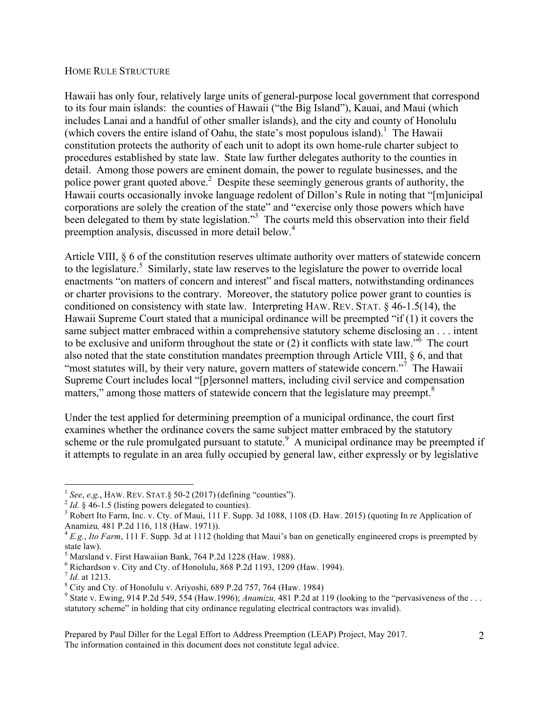#### HOME RULE STRUCTURE

Hawaii has only four, relatively large units of general-purpose local government that correspond to its four main islands: the counties of Hawaii ("the Big Island"), Kauai, and Maui (which includes Lanai and a handful of other smaller islands), and the city and county of Honolulu (which covers the entire island of Oahu, the state's most populous island).<sup>1</sup> The Hawaii constitution protects the authority of each unit to adopt its own home-rule charter subject to procedures established by state law. State law further delegates authority to the counties in detail. Among those powers are eminent domain, the power to regulate businesses, and the police power grant quoted above.<sup>2</sup> Despite these seemingly generous grants of authority, the Hawaii courts occasionally invoke language redolent of Dillon's Rule in noting that "[m]unicipal corporations are solely the creation of the state" and "exercise only those powers which have been delegated to them by state legislation."<sup>3</sup> The courts meld this observation into their field preemption analysis, discussed in more detail below.<sup>4</sup>

Article VIII, § 6 of the constitution reserves ultimate authority over matters of statewide concern to the legislature.<sup>5</sup> Similarly, state law reserves to the legislature the power to override local enactments "on matters of concern and interest" and fiscal matters, notwithstanding ordinances or charter provisions to the contrary. Moreover, the statutory police power grant to counties is conditioned on consistency with state law. Interpreting HAW. REV. STAT. § 46-1.5(14), the Hawaii Supreme Court stated that a municipal ordinance will be preempted "if (1) it covers the same subject matter embraced within a comprehensive statutory scheme disclosing an . . . intent to be exclusive and uniform throughout the state or (2) it conflicts with state law.<sup>56</sup> The court also noted that the state constitution mandates preemption through Article VIII, § 6, and that "most statutes will, by their very nature, govern matters of statewide concern."<sup>7</sup> The Hawaii Supreme Court includes local "[p]ersonnel matters, including civil service and compensation matters," among those matters of statewide concern that the legislature may preempt.<sup>8</sup>

Under the test applied for determining preemption of a municipal ordinance, the court first examines whether the ordinance covers the same subject matter embraced by the statutory scheme or the rule promulgated pursuant to statute.<sup>9</sup> A municipal ordinance may be preempted if it attempts to regulate in an area fully occupied by general law, either expressly or by legislative

<sup>&</sup>lt;sup>1</sup> See, e.g., HAW. REV. STAT. § 50-2 (2017) (defining "counties").<br>
<sup>2</sup> *Id.* § 46-1.5 (listing powers delegated to counties).<br>
<sup>3</sup> Robert Ito Farm, Inc. v. Cty. of Maui, 111 F. Supp. 3d 1088, 1108 (D. Haw. 2015) (quotin Anamizu*,* 481 P.2d 116, 118 (Haw. 1971)). <sup>4</sup> *E.g.*, *Ito Farm*, 111 F. Supp. 3d at 1112 (holding that Maui's ban on genetically engineered crops is preempted by

state law).

<sup>&</sup>lt;sup>5</sup> Marsland v. First Hawaiian Bank, 764 P.2d 1228 (Haw. 1988).<br>
<sup>6</sup> Richardson v. City and Cty. of Honolulu, 868 P.2d 1193, 1209 (Haw. 1994).<br>
<sup>7</sup> *Id.* at 1213.<br>
<sup>8</sup> City and Cty. of Honolulu v. Ariyoshi, 689 P.2d 757, statutory scheme" in holding that city ordinance regulating electrical contractors was invalid).

Prepared by Paul Diller for the Legal Effort to Address Preemption (LEAP) Project, May 2017. The information contained in this document does not constitute legal advice.